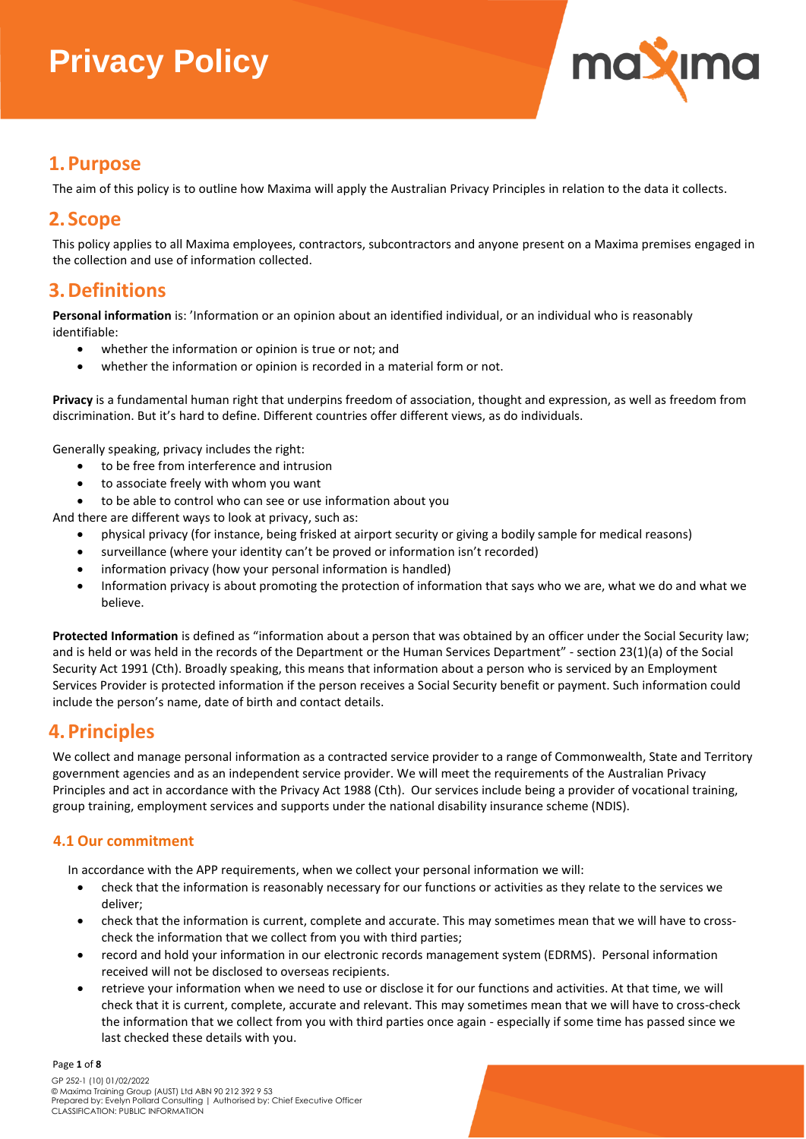

## **1.Purpose**

The aim of this policy is to outline how Maxima will apply the Australian Privacy Principles in relation to the data it collects.

## **2.Scope**

This policy applies to all Maxima employees, contractors, subcontractors and anyone present on a Maxima premises engaged in the collection and use of information collected.

## **3.Definitions**

**Personal information** is: 'Information or an opinion about an identified individual, or an individual who is reasonably identifiable:

- whether the information or opinion is true or not; and
- whether the information or opinion is recorded in a material form or not.

**Privacy** is a fundamental human right that underpins freedom of association, thought and expression, as well as freedom from discrimination. But it's hard to define. Different countries offer different views, as do individuals.

Generally speaking, privacy includes the right:

- to be free from interference and intrusion
- to associate freely with whom you want
- to be able to control who can see or use information about you

And there are different ways to look at privacy, such as:

- physical privacy (for instance, being frisked at airport security or giving a bodily sample for medical reasons)
- surveillance (where your identity can't be proved or information isn't recorded)
- information privacy (how your [personal information](https://www.oaic.gov.au/privacy/your-privacy-rights/your-personal-information/what-is-personal-information/) is handled)
- Information privacy is about promoting the protection of information that says who we are, what we do and what we believe.

**Protected Information** is defined as "information about a person that was obtained by an officer under the Social Security law; and is held or was held in the records of the Department or the Human Services Department" - section 23(1)(a) of the Social Security Act 1991 (Cth). Broadly speaking, this means that information about a person who is serviced by an Employment Services Provider is protected information if the person receives a Social Security benefit or payment. Such information could include the person's name, date of birth and contact details.

## **4.Principles**

We collect and manage personal information as a contracted service provider to a range of Commonwealth, State and Territory government agencies and as an independent service provider. We will meet the requirements of the Australian Privacy Principles and act in accordance with the Privacy Act 1988 (Cth). Our services include being a provider of vocational training, group training, employment services and supports under the national disability insurance scheme (NDIS).

### **4.1 Our commitment**

In accordance with the APP requirements, when we collect your personal information we will:

- check that the information is reasonably necessary for our functions or activities as they relate to the services we deliver;
- check that the information is current, complete and accurate. This may sometimes mean that we will have to crosscheck the information that we collect from you with third parties;
- record and hold your information in our electronic records management system (EDRMS). Personal information received will not be disclosed to overseas recipients.
- retrieve your information when we need to use or disclose it for our functions and activities. At that time, we will check that it is current, complete, accurate and relevant. This may sometimes mean that we will have to cross-check the information that we collect from you with third parties once again - especially if some time has passed since we last checked these details with you.

#### Page **1** of **8**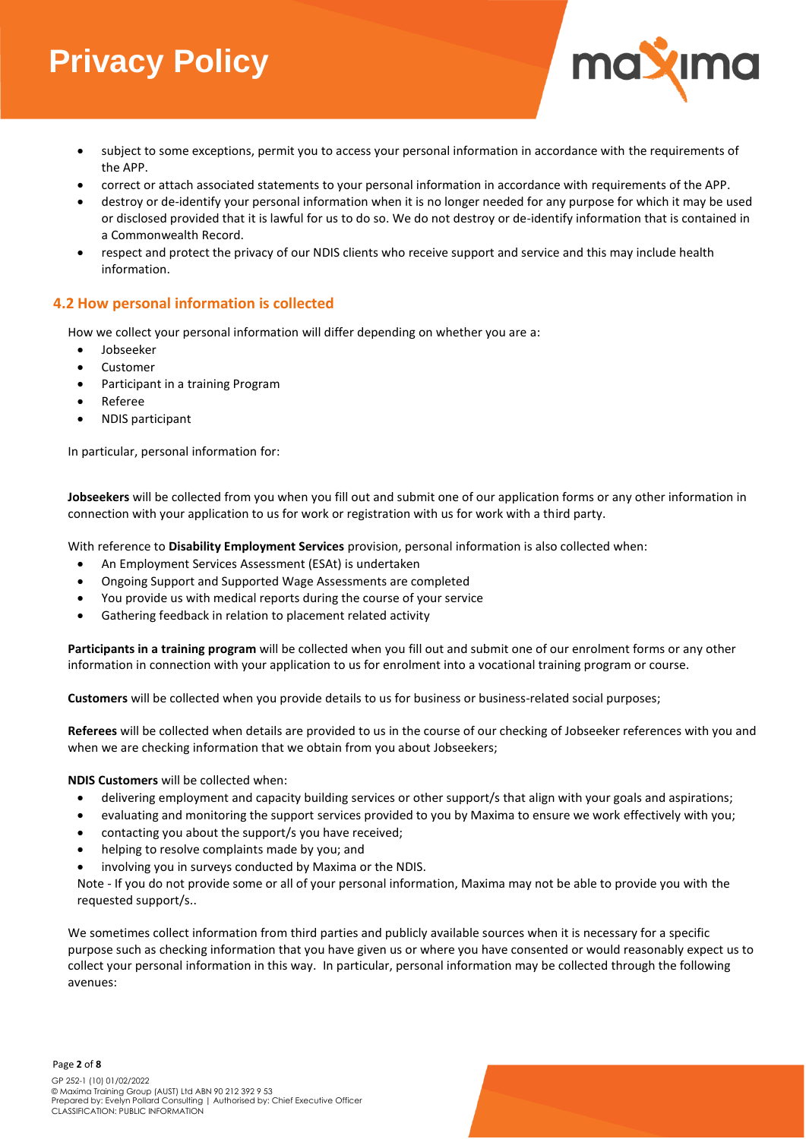

- subject to some exceptions, permit you to access your personal information in accordance with the requirements of the APP.
- correct or attach associated statements to your personal information in accordance with requirements of the APP.
- destroy or de-identify your personal information when it is no longer needed for any purpose for which it may be used or disclosed provided that it is lawful for us to do so. We do not destroy or de-identify information that is contained in a Commonwealth Record.
- respect and protect the privacy of our NDIS clients who receive support and service and this may include health information.

### **4.2 How personal information is collected**

How we collect your personal information will differ depending on whether you are a:

- Jobseeker
- Customer
- Participant in a training Program
- Referee
- NDIS participant

In particular, personal information for:

**Jobseekers** will be collected from you when you fill out and submit one of our application forms or any other information in connection with your application to us for work or registration with us for work with a third party.

With reference to **Disability Employment Services** provision, personal information is also collected when:

- An Employment Services Assessment (ESAt) is undertaken
- Ongoing Support and Supported Wage Assessments are completed
- You provide us with medical reports during the course of your service
- Gathering feedback in relation to placement related activity

**Participants in a training program** will be collected when you fill out and submit one of our enrolment forms or any other information in connection with your application to us for enrolment into a vocational training program or course.

**Customers** will be collected when you provide details to us for business or business-related social purposes;

**Referees** will be collected when details are provided to us in the course of our checking of Jobseeker references with you and when we are checking information that we obtain from you about Jobseekers;

**NDIS Customers** will be collected when:

- delivering employment and capacity building services or other support/s that align with your goals and aspirations;
- evaluating and monitoring the support services provided to you by Maxima to ensure we work effectively with you;
- contacting you about the support/s you have received;
- helping to resolve complaints made by you; and
- involving you in surveys conducted by Maxima or the NDIS.

Note - If you do not provide some or all of your personal information, Maxima may not be able to provide you with the requested support/s..

We sometimes collect information from third parties and publicly available sources when it is necessary for a specific purpose such as checking information that you have given us or where you have consented or would reasonably expect us to collect your personal information in this way. In particular, personal information may be collected through the following avenues: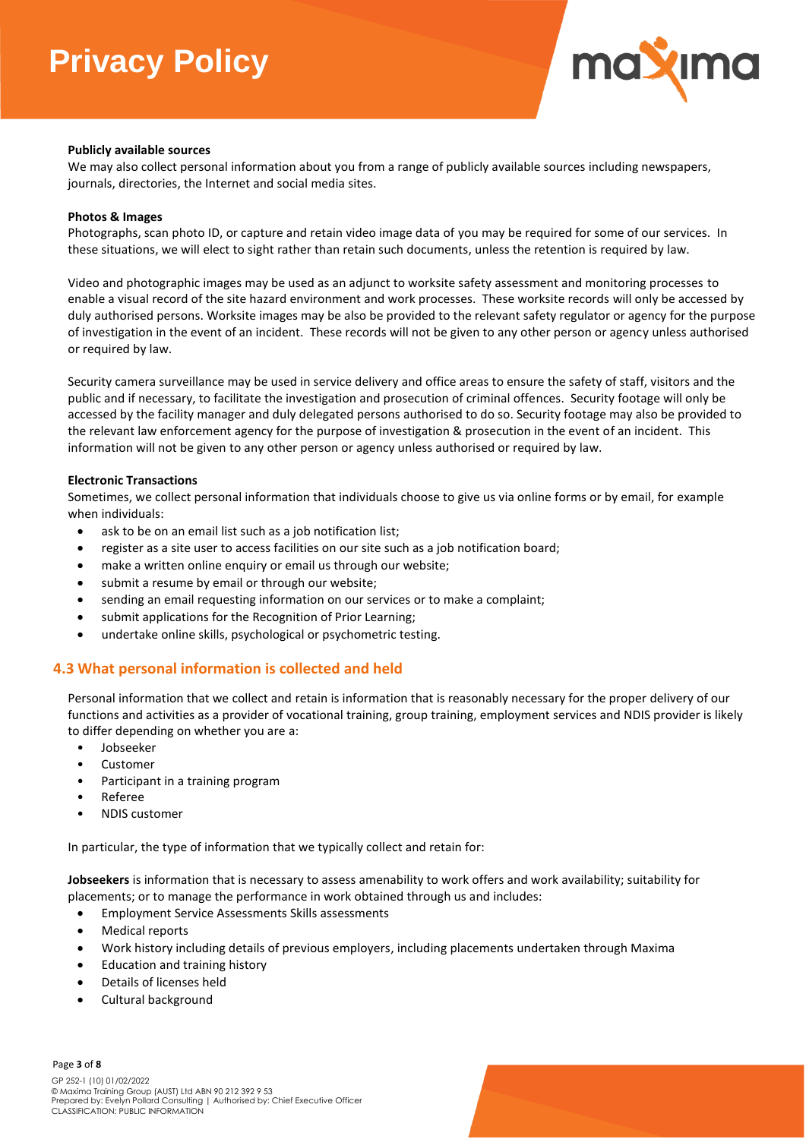

#### **Publicly available sources**

We may also collect personal information about you from a range of publicly available sources including newspapers, journals, directories, the Internet and social media sites.

#### **Photos & Images**

Photographs, scan photo ID, or capture and retain video image data of you may be required for some of our services. In these situations, we will elect to sight rather than retain such documents, unless the retention is required by law.

Video and photographic images may be used as an adjunct to worksite safety assessment and monitoring processes to enable a visual record of the site hazard environment and work processes. These worksite records will only be accessed by duly authorised persons. Worksite images may be also be provided to the relevant safety regulator or agency for the purpose of investigation in the event of an incident. These records will not be given to any other person or agency unless authorised or required by law.

Security camera surveillance may be used in service delivery and office areas to ensure the safety of staff, visitors and the public and if necessary, to facilitate the investigation and prosecution of criminal offences. Security footage will only be accessed by the facility manager and duly delegated persons authorised to do so. Security footage may also be provided to the relevant law enforcement agency for the purpose of investigation & prosecution in the event of an incident. This information will not be given to any other person or agency unless authorised or required by law.

#### **Electronic Transactions**

Sometimes, we collect personal information that individuals choose to give us via online forms or by email, for example when individuals:

- ask to be on an email list such as a job notification list;
- register as a site user to access facilities on our site such as a job notification board;
- make a written online enquiry or email us through our website;
- submit a resume by email or through our website;
- sending an email requesting information on our services or to make a complaint;
- submit applications for the Recognition of Prior Learning;
- undertake online skills, psychological or psychometric testing.

### **4.3 What personal information is collected and held**

Personal information that we collect and retain is information that is reasonably necessary for the proper delivery of our functions and activities as a provider of vocational training, group training, employment services and NDIS provider is likely to differ depending on whether you are a:

- Jobseeker
- Customer
- Participant in a training program
- Referee
- NDIS customer

In particular, the type of information that we typically collect and retain for:

**Jobseekers** is information that is necessary to assess amenability to work offers and work availability; suitability for placements; or to manage the performance in work obtained through us and includes:

- Employment Service Assessments Skills assessments
- Medical reports
- Work history including details of previous employers, including placements undertaken through Maxima
- Education and training history
- Details of licenses held
- Cultural background

Page **3** of **8**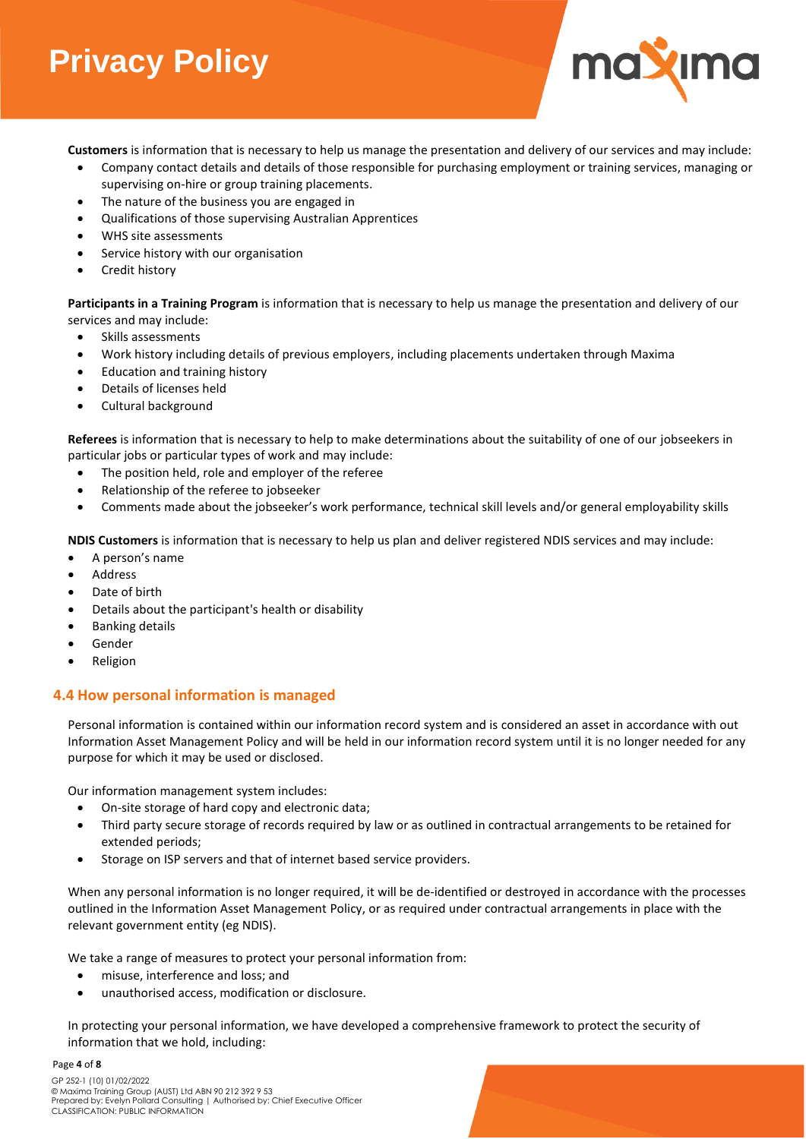

**Customers** is information that is necessary to help us manage the presentation and delivery of our services and may include:

- Company contact details and details of those responsible for purchasing employment or training services, managing or supervising on-hire or group training placements.
- The nature of the business you are engaged in
- Qualifications of those supervising Australian Apprentices
- WHS site assessments
- Service history with our organisation
- Credit history

**Participants in a Training Program** is information that is necessary to help us manage the presentation and delivery of our services and may include:

- Skills assessments
- Work history including details of previous employers, including placements undertaken through Maxima
- Education and training history
- Details of licenses held
- Cultural background

**Referees** is information that is necessary to help to make determinations about the suitability of one of our jobseekers in particular jobs or particular types of work and may include:

- The position held, role and employer of the referee
- Relationship of the referee to jobseeker
- Comments made about the jobseeker's work performance, technical skill levels and/or general employability skills

**NDIS Customers** is information that is necessary to help us plan and deliver registered NDIS services and may include:

- A person's name
- Address
- Date of birth
- Details about the participant's health or disability
- Banking details
- **Gender**
- Religion

### **4.4 How personal information is managed**

Personal information is contained within our information record system and is considered an asset in accordance with out Information Asset Management Policy and will be held in our information record system until it is no longer needed for any purpose for which it may be used or disclosed.

Our information management system includes:

- On-site storage of hard copy and electronic data;
- Third party secure storage of records required by law or as outlined in contractual arrangements to be retained for extended periods;
- Storage on ISP servers and that of internet based service providers.

When any personal information is no longer required, it will be de-identified or destroyed in accordance with the processes outlined in the Information Asset Management Policy, or as required under contractual arrangements in place with the relevant government entity (eg NDIS).

We take a range of measures to protect your personal information from:

- misuse, interference and loss; and
- unauthorised access, modification or disclosure.

In protecting your personal information, we have developed a comprehensive framework to protect the security of information that we hold, including:

#### Page **4** of **8**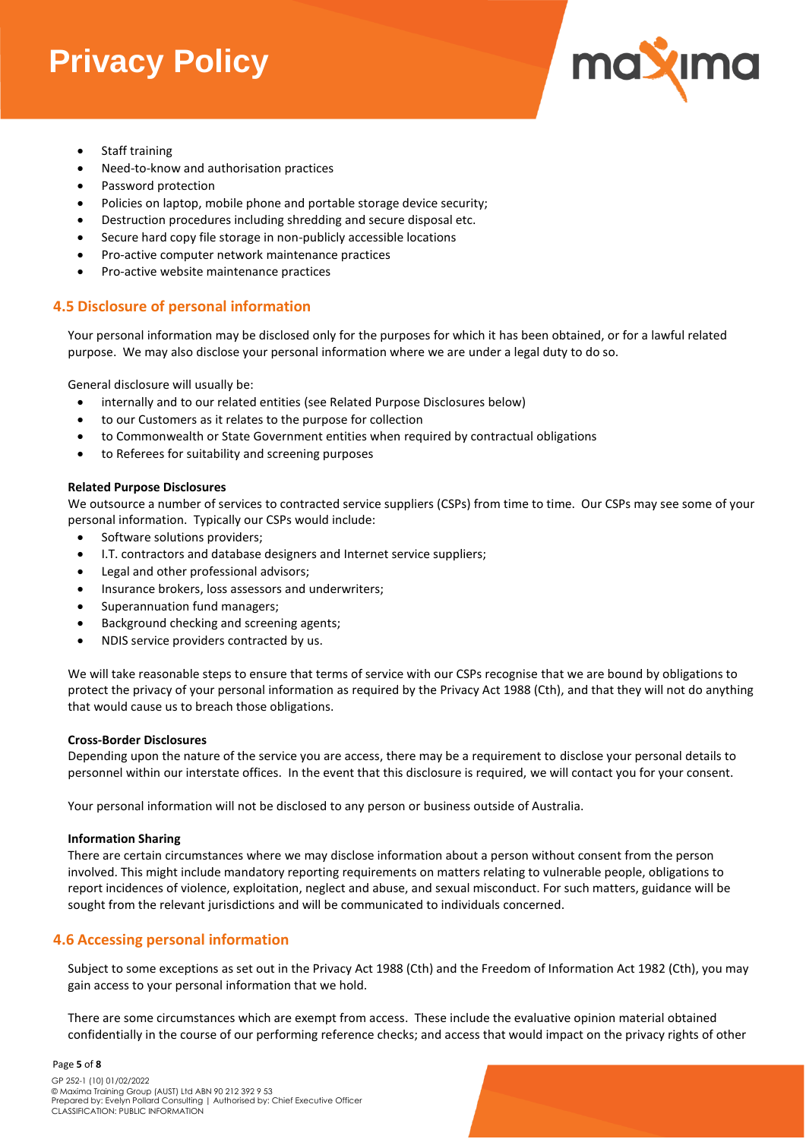

- Staff training
- Need-to-know and authorisation practices
- Password protection
- Policies on laptop, mobile phone and portable storage device security;
- Destruction procedures including shredding and secure disposal etc.
- Secure hard copy file storage in non-publicly accessible locations
- Pro-active computer network maintenance practices
- Pro-active website maintenance practices

### **4.5 Disclosure of personal information**

Your personal information may be disclosed only for the purposes for which it has been obtained, or for a lawful related purpose. We may also disclose your personal information where we are under a legal duty to do so.

General disclosure will usually be:

- internally and to our related entities (see Related Purpose Disclosures below)
- to our Customers as it relates to the purpose for collection
- to Commonwealth or State Government entities when required by contractual obligations
- to Referees for suitability and screening purposes

#### **Related Purpose Disclosures**

We outsource a number of services to contracted service suppliers (CSPs) from time to time. Our CSPs may see some of your personal information. Typically our CSPs would include:

- Software solutions providers;
- I.T. contractors and database designers and Internet service suppliers;
- Legal and other professional advisors;
- Insurance brokers, loss assessors and underwriters;
- Superannuation fund managers;
- Background checking and screening agents;
- NDIS service providers contracted by us.

We will take reasonable steps to ensure that terms of service with our CSPs recognise that we are bound by obligations to protect the privacy of your personal information as required by the Privacy Act 1988 (Cth), and that they will not do anything that would cause us to breach those obligations.

#### **Cross-Border Disclosures**

Depending upon the nature of the service you are access, there may be a requirement to disclose your personal details to personnel within our interstate offices. In the event that this disclosure is required, we will contact you for your consent.

Your personal information will not be disclosed to any person or business outside of Australia.

#### **Information Sharing**

There are certain circumstances where we may disclose information about a person without consent from the person involved. This might include mandatory reporting requirements on matters relating to vulnerable people, obligations to report incidences of violence, exploitation, neglect and abuse, and sexual misconduct. For such matters, guidance will be sought from the relevant jurisdictions and will be communicated to individuals concerned.

### **4.6 Accessing personal information**

Subject to some exceptions as set out in the Privacy Act 1988 (Cth) and the Freedom of Information Act 1982 (Cth), you may gain access to your personal information that we hold.

There are some circumstances which are exempt from access. These include the evaluative opinion material obtained confidentially in the course of our performing reference checks; and access that would impact on the privacy rights of other

#### Page **5** of **8**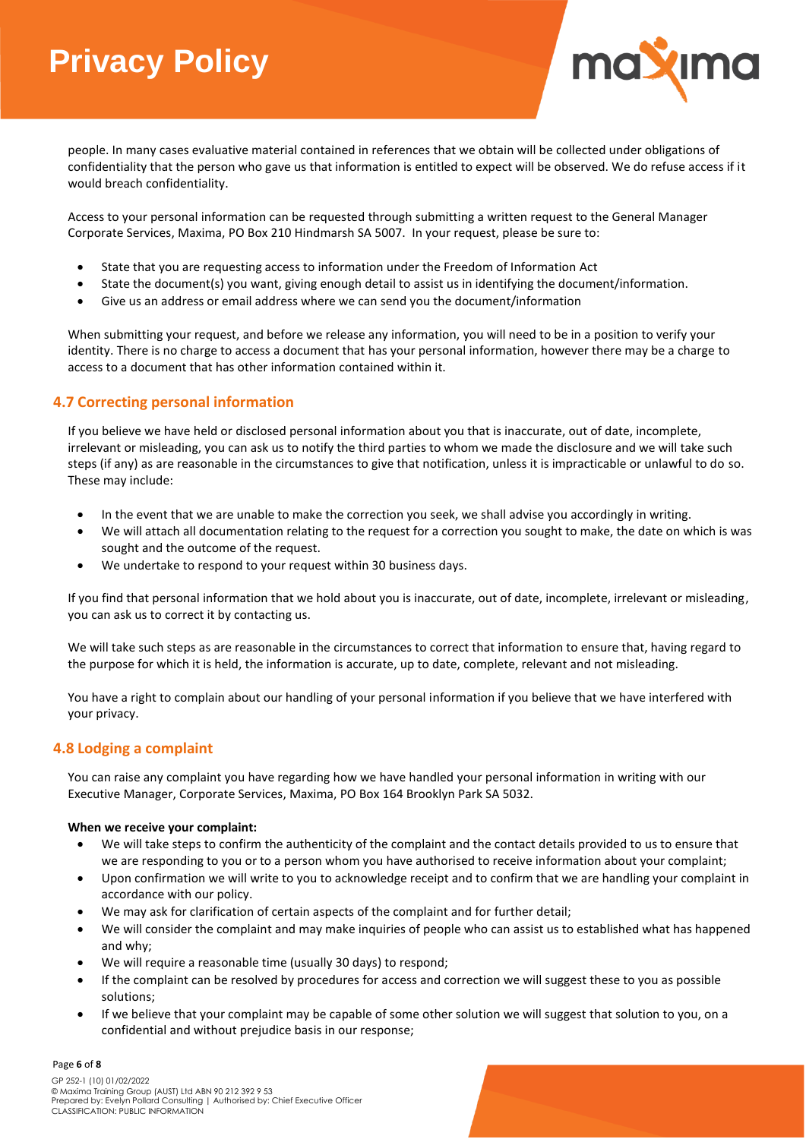

people. In many cases evaluative material contained in references that we obtain will be collected under obligations of confidentiality that the person who gave us that information is entitled to expect will be observed. We do refuse access if it would breach confidentiality.

Access to your personal information can be requested through submitting a written request to the General Manager Corporate Services, Maxima, PO Box 210 Hindmarsh SA 5007. In your request, please be sure to:

- State that you are requesting access to information under the Freedom of Information Act
- State the document(s) you want, giving enough detail to assist us in identifying the document/information.
- Give us an address or email address where we can send you the document/information

When submitting your request, and before we release any information, you will need to be in a position to verify your identity. There is no charge to access a document that has your personal information, however there may be a charge to access to a document that has other information contained within it.

### **4.7 Correcting personal information**

If you believe we have held or disclosed personal information about you that is inaccurate, out of date, incomplete, irrelevant or misleading, you can ask us to notify the third parties to whom we made the disclosure and we will take such steps (if any) as are reasonable in the circumstances to give that notification, unless it is impracticable or unlawful to do so. These may include:

- In the event that we are unable to make the correction you seek, we shall advise you accordingly in writing.
- We will attach all documentation relating to the request for a correction you sought to make, the date on which is was sought and the outcome of the request.
- We undertake to respond to your request within 30 business days.

If you find that personal information that we hold about you is inaccurate, out of date, incomplete, irrelevant or misleading, you can ask us to correct it by contacting us.

We will take such steps as are reasonable in the circumstances to correct that information to ensure that, having regard to the purpose for which it is held, the information is accurate, up to date, complete, relevant and not misleading.

You have a right to complain about our handling of your personal information if you believe that we have interfered with your privacy.

### **4.8 Lodging a complaint**

You can raise any complaint you have regarding how we have handled your personal information in writing with our Executive Manager, Corporate Services, Maxima, PO Box 164 Brooklyn Park SA 5032.

#### **When we receive your complaint:**

- We will take steps to confirm the authenticity of the complaint and the contact details provided to us to ensure that we are responding to you or to a person whom you have authorised to receive information about your complaint;
- Upon confirmation we will write to you to acknowledge receipt and to confirm that we are handling your complaint in accordance with our policy.
- We may ask for clarification of certain aspects of the complaint and for further detail;
- We will consider the complaint and may make inquiries of people who can assist us to established what has happened and why;
- We will require a reasonable time (usually 30 days) to respond;
- If the complaint can be resolved by procedures for access and correction we will suggest these to you as possible solutions;
- If we believe that your complaint may be capable of some other solution we will suggest that solution to you, on a confidential and without prejudice basis in our response;

#### Page **6** of **8**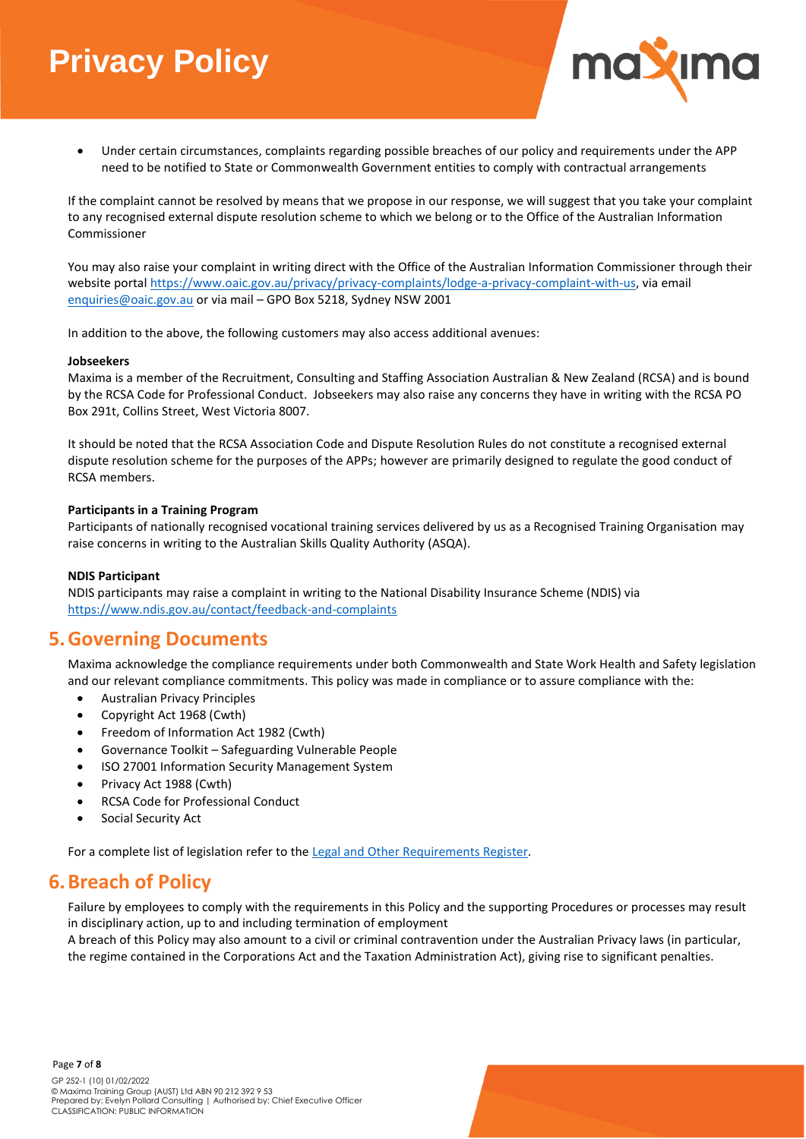

• Under certain circumstances, complaints regarding possible breaches of our policy and requirements under the APP need to be notified to State or Commonwealth Government entities to comply with contractual arrangements

If the complaint cannot be resolved by means that we propose in our response, we will suggest that you take your complaint to any recognised external dispute resolution scheme to which we belong or to the Office of the Australian Information Commissioner

You may also raise your complaint in writing direct with the Office of the Australian Information Commissioner through their website portal [https://www.oaic.gov.au/privacy/privacy-complaints/lodge-a-privacy-complaint-with-us,](https://www.oaic.gov.au/privacy/privacy-complaints/lodge-a-privacy-complaint-with-us) via email [enquiries@oaic.gov.au](mailto:enquiries@oaic.gov.au) or via mail – GPO Box 5218, Sydney NSW 2001

In addition to the above, the following customers may also access additional avenues:

#### **Jobseekers**

Maxima is a member of the Recruitment, Consulting and Staffing Association Australian & New Zealand (RCSA) and is bound by the RCSA Code for Professional Conduct. Jobseekers may also raise any concerns they have in writing with the RCSA PO Box 291t, Collins Street, West Victoria 8007.

It should be noted that the RCSA Association Code and Dispute Resolution Rules do not constitute a recognised external dispute resolution scheme for the purposes of the APPs; however are primarily designed to regulate the good conduct of RCSA members.

#### **Participants in a Training Program**

Participants of nationally recognised vocational training services delivered by us as a Recognised Training Organisation may raise concerns in writing to the Australian Skills Quality Authority (ASQA).

#### **NDIS Participant**

NDIS participants may raise a complaint in writing to the National Disability Insurance Scheme (NDIS) via <https://www.ndis.gov.au/contact/feedback-and-complaints>

## **5.Governing Documents**

Maxima acknowledge the compliance requirements under both Commonwealth and State Work Health and Safety legislation and our relevant compliance commitments. This policy was made in compliance or to assure compliance with the:

- Australian Privacy Principles
- Copyright Act 1968 (Cwth)
- Freedom of Information Act 1982 (Cwth)
- Governance Toolkit Safeguarding Vulnerable People
- ISO 27001 Information Security Management System
- Privacy Act 1988 (Cwth)
- RCSA Code for Professional Conduct
- Social Security Act

For a complete list of legislation refer to the [Legal and Other Requirements Register.](file://///max-fs01/maxpublic$/Maxima%20Public/Work%20Health%20&%20Safety/Maxima%20Legal%20and%20Other%20Requirements%20Register.xlsx)

## **6.Breach of Policy**

Failure by employees to comply with the requirements in this Policy and the supporting Procedures or processes may result in disciplinary action, up to and including termination of employment

A breach of this Policy may also amount to a civil or criminal contravention under the Australian Privacy laws (in particular, the regime contained in the Corporations Act and the Taxation Administration Act), giving rise to significant penalties.